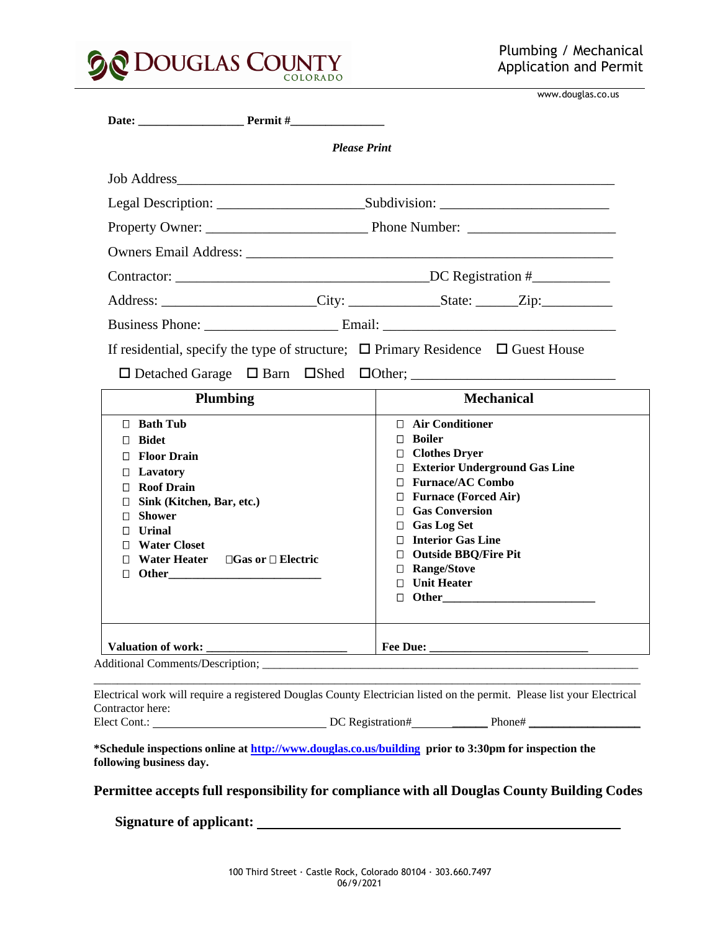

www.douglas.co.us

|                                                                                                                                                                                                                                        | <b>Please Print</b> |                                                                                                                                                                                                                                                            |  |  |  |  |
|----------------------------------------------------------------------------------------------------------------------------------------------------------------------------------------------------------------------------------------|---------------------|------------------------------------------------------------------------------------------------------------------------------------------------------------------------------------------------------------------------------------------------------------|--|--|--|--|
|                                                                                                                                                                                                                                        |                     |                                                                                                                                                                                                                                                            |  |  |  |  |
|                                                                                                                                                                                                                                        |                     |                                                                                                                                                                                                                                                            |  |  |  |  |
|                                                                                                                                                                                                                                        |                     |                                                                                                                                                                                                                                                            |  |  |  |  |
|                                                                                                                                                                                                                                        |                     |                                                                                                                                                                                                                                                            |  |  |  |  |
|                                                                                                                                                                                                                                        |                     |                                                                                                                                                                                                                                                            |  |  |  |  |
|                                                                                                                                                                                                                                        |                     | Address: _____________________City: ________________State: _______Zip:                                                                                                                                                                                     |  |  |  |  |
|                                                                                                                                                                                                                                        |                     |                                                                                                                                                                                                                                                            |  |  |  |  |
|                                                                                                                                                                                                                                        |                     | If residential, specify the type of structure; $\Box$ Primary Residence $\Box$ Guest House                                                                                                                                                                 |  |  |  |  |
|                                                                                                                                                                                                                                        |                     |                                                                                                                                                                                                                                                            |  |  |  |  |
| <b>Plumbing</b>                                                                                                                                                                                                                        |                     | <b>Mechanical</b>                                                                                                                                                                                                                                          |  |  |  |  |
| $\Box$ Bath Tub                                                                                                                                                                                                                        |                     | □ Air Conditioner                                                                                                                                                                                                                                          |  |  |  |  |
| <b>Bidet</b><br>$\Box$<br>□ Floor Drain<br>$\Box$ Lavatory<br><b>Roof Drain</b><br>П.<br>Sink (Kitchen, Bar, etc.)<br>0<br><b>Shower</b><br>П.<br>$\Box$ Urinal<br>□ Water Closet<br>$\Box$ Water Heater $\Box$ Gas or $\Box$ Electric |                     | $\Box$ Boiler<br>□ Clothes Dryer<br>□ Exterior Underground Gas Line<br>□ Furnace/AC Combo<br>$\Box$ Furnace (Forced Air)<br><b>Cas Conversion</b><br>$\Box$ Gas Log Set<br>□ Interior Gas Line<br>□ Outside BBQ/Fire Pit<br>□ Range/Stove<br>□ Unit Heater |  |  |  |  |
| Valuation of work:                                                                                                                                                                                                                     |                     |                                                                                                                                                                                                                                                            |  |  |  |  |

**\*Schedule inspections online at<http://www.douglas.co.us/building> prior to 3:30pm for inspection the following business day.**

 **Permittee accepts full responsibility for compliance with all Douglas County Building Codes**

**Signature of applicant:**